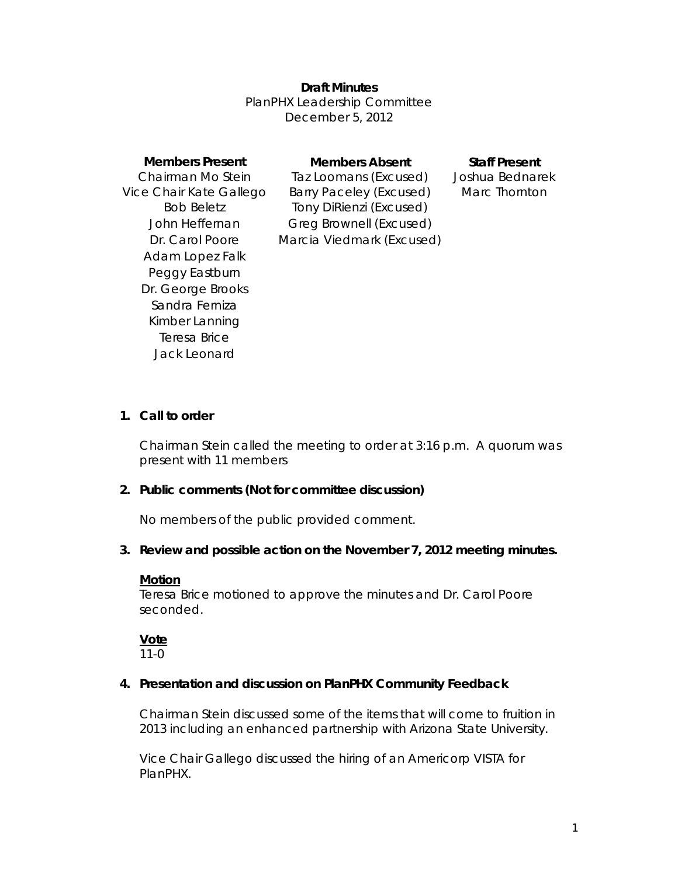## **Draft Minutes**

PlanPHX Leadership Committee December 5, 2012

| <b>Members Present</b><br>Chairman Mo Stein | <b>Members Absent</b><br>Taz Loomans (Excused) | <b>Staff Present</b><br>Joshua Bednarek |
|---------------------------------------------|------------------------------------------------|-----------------------------------------|
| Vice Chair Kate Gallego                     | <b>Barry Paceley (Excused)</b>                 | Marc Thornton                           |
| <b>Bob Beletz</b>                           | Tony DiRienzi (Excused)                        |                                         |
| John Heffernan                              | Greg Brownell (Excused)                        |                                         |
| Dr. Carol Poore                             | Marcia Viedmark (Excused)                      |                                         |
| Adam Lopez Falk                             |                                                |                                         |
| Peggy Eastburn                              |                                                |                                         |
| Dr. George Brooks                           |                                                |                                         |
| Sandra Ferniza                              |                                                |                                         |
| Kimber Lanning                              |                                                |                                         |
| Teresa Brice                                |                                                |                                         |
| Jack Leonard                                |                                                |                                         |
|                                             |                                                |                                         |

#### **1. Call to order**

Chairman Stein called the meeting to order at 3:16 p.m. A quorum was present with 11 members

## **2. Public comments (Not for committee discussion)**

No members of the public provided comment.

## **3. Review and possible action on the November 7, 2012 meeting minutes.**

#### **Motion**

Teresa Brice motioned to approve the minutes and Dr. Carol Poore seconded.

# **Vote**

 $11-0$ 

## **4. Presentation and discussion on PlanPHX Community Feedback**

Chairman Stein discussed some of the items that will come to fruition in 2013 including an enhanced partnership with Arizona State University.

Vice Chair Gallego discussed the hiring of an Americorp VISTA for PlanPHX.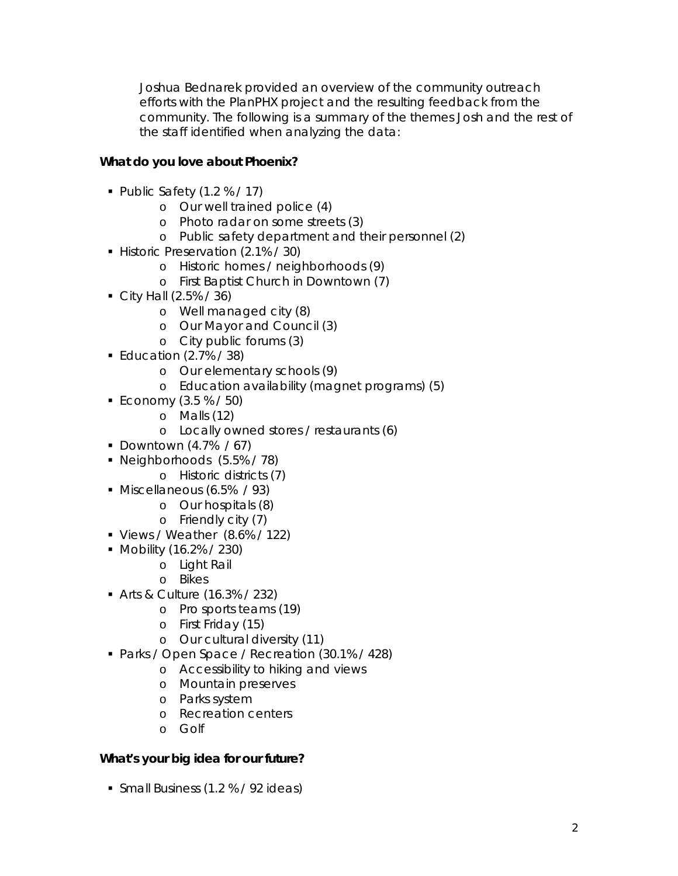Joshua Bednarek provided an overview of the community outreach efforts with the PlanPHX project and the resulting feedback from the community. The following is a summary of the themes Josh and the rest of the staff identified when analyzing the data:

# **What do you love about Phoenix?**

- Public Safety (1.2 % / 17)
	- o Our well trained police (4)
	- o Photo radar on some streets (3)
	- o Public safety department and their personnel (2)
- Historic Preservation (2.1% / 30)
	- o Historic homes / neighborhoods (9)
	- o First Baptist Church in Downtown (7)
- $\blacksquare$  City Hall (2.5% / 36)
	- o Well managed city (8)
	- o Our Mayor and Council (3)
	- o City public forums (3)
- Education  $(2.7\% / 38)$ 
	- o Our elementary schools (9)
	- o Education availability (magnet programs) (5)
- Economy  $(3.5 % / 50)$ 
	- o Malls (12)
		- o Locally owned stores / restaurants (6)
- Downtown  $(4.7\%$  / 67)
- Neighborhoods (5.5% / 78)
	- o Historic districts (7)
- Miscellaneous (6.5% / 93)
	- o Our hospitals (8)
		- o Friendly city (7)
- Views / Weather (8.6% / 122)
- Mobility (16.2% / 230)
	- o Light Rail
	- o Bikes
- Arts & Culture (16.3% / 232)
	- o Pro sports teams (19)
	- o First Friday (15)
	- o Our cultural diversity (11)
- Parks / Open Space / Recreation (30.1% / 428)
	- o Accessibility to hiking and views
	- o Mountain preserves
	- o Parks system
	- o Recreation centers
	- o Golf

## **What's your big idea for our future?**

**Small Business (1.2 % / 92 ideas)**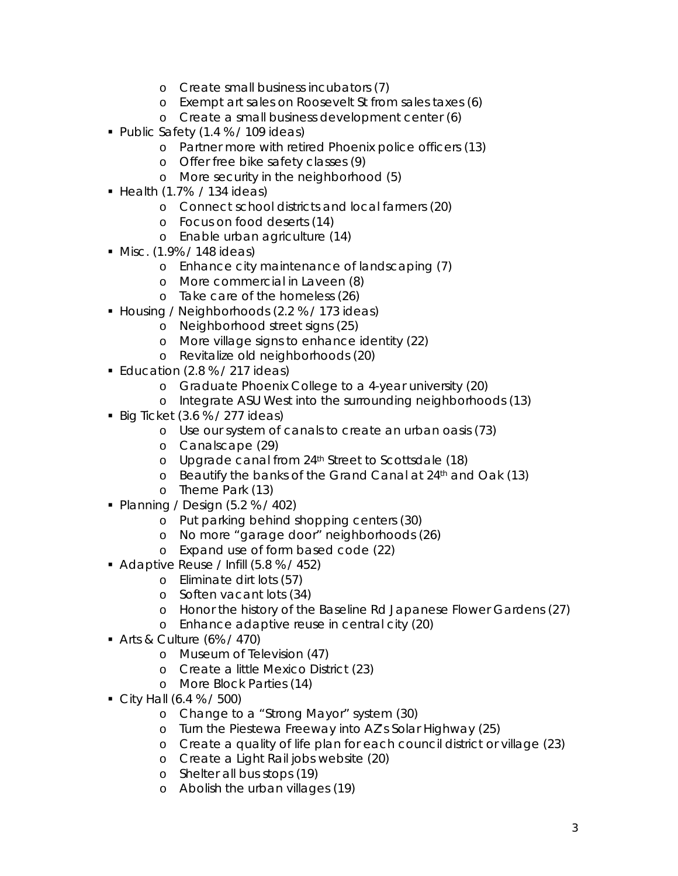- o Create small business incubators (7)
- o Exempt art sales on Roosevelt St from sales taxes (6)
- o Create a small business development center (6)
- Public Safety (1.4 % / 109 ideas)
	- o Partner more with retired Phoenix police officers (13)
	- o Offer free bike safety classes (9)
	- o More security in the neighborhood (5)
- $\blacksquare$  Health (1.7% / 134 ideas)
	- o Connect school districts and local farmers (20)
	- o Focus on food deserts (14)
	- o Enable urban agriculture (14)
- Misc. (1.9% / 148 ideas)
	- o Enhance city maintenance of landscaping (7)
	- o More commercial in Laveen (8)
	- o Take care of the homeless (26)
- Housing / Neighborhoods (2.2 % / 173 ideas)
	- o Neighborhood street signs (25)
	- o More village signs to enhance identity (22)
	- o Revitalize old neighborhoods (20)
- **Education (2.8 % / 217 ideas)** 
	- o Graduate Phoenix College to a 4-year university (20)
	- o Integrate ASU West into the surrounding neighborhoods (13)
- Big Ticket  $(3.6 % / 277$  ideas)
	- o Use our system of canals to create an urban oasis (73)
	- o Canalscape (29)
	- o Upgrade canal from 24th Street to Scottsdale (18)
	- o Beautify the banks of the Grand Canal at 24<sup>th</sup> and Oak (13)
	- o Theme Park (13)
- Planning / Design  $(5.2 % / 402)$ 
	- o Put parking behind shopping centers (30)
	- o No more "garage door" neighborhoods (26)
	- o Expand use of form based code (22)
- Adaptive Reuse / Infill (5.8 % / 452)
	- o Eliminate dirt lots (57)
	- o Soften vacant lots (34)
	- o Honor the history of the Baseline Rd Japanese Flower Gardens (27)
	- o Enhance adaptive reuse in central city (20)
- Arts & Culture (6% / 470)
	- o Museum of Television (47)
	- o Create a little Mexico District (23)
	- o More Block Parties (14)
- $\blacksquare$  City Hall (6.4 % / 500)
	- o Change to a "Strong Mayor" system (30)
	- o Turn the Piestewa Freeway into AZ's Solar Highway (25)
	- o Create a quality of life plan for each council district or village (23)
	- o Create a Light Rail jobs website (20)
	- o Shelter all bus stops (19)
	- o Abolish the urban villages (19)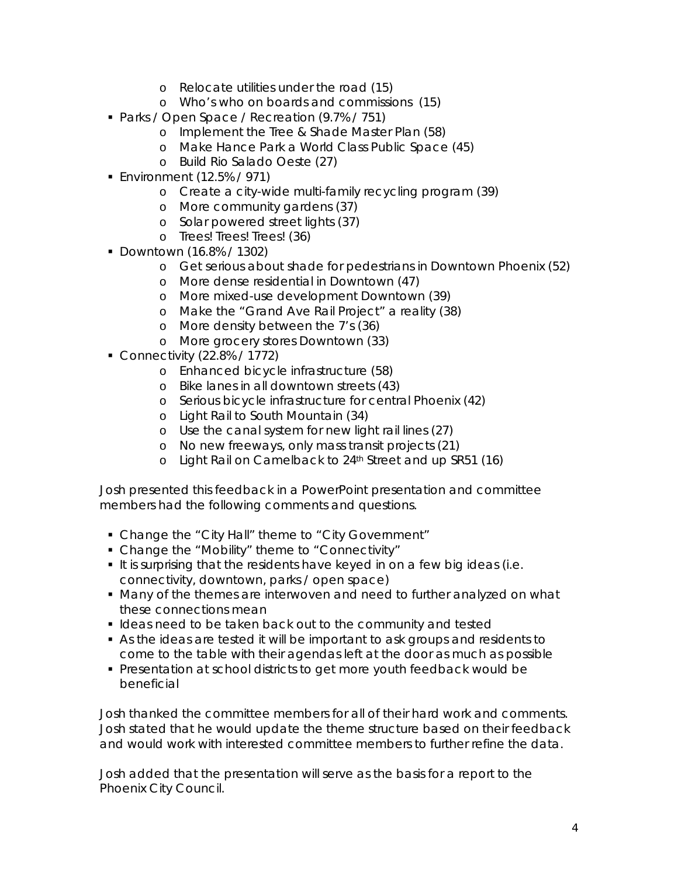- o Relocate utilities under the road (15)
- o Who's who on boards and commissions (15)
- Parks / Open Space / Recreation (9.7% / 751)
	- o Implement the Tree & Shade Master Plan (58)
	- o Make Hance Park a World Class Public Space (45)
	- o Build Rio Salado Oeste (27)
- Environment (12.5% / 971)
	- o Create a city-wide multi-family recycling program (39)
	- o More community gardens (37)
	- o Solar powered street lights (37)
	- o Trees! Trees! Trees! (36)
- Downtown (16.8% / 1302)
	- o Get serious about shade for pedestrians in Downtown Phoenix (52)
	- o More dense residential in Downtown (47)
	- o More mixed-use development Downtown (39)
	- o Make the "Grand Ave Rail Project" a reality (38)
	- o More density between the 7's (36)
	- o More grocery stores Downtown (33)
- Connectivity (22.8% / 1772)
	- o Enhanced bicycle infrastructure (58)
	- o Bike lanes in all downtown streets (43)
	- o Serious bicycle infrastructure for central Phoenix (42)
	- o Light Rail to South Mountain (34)
	- o Use the canal system for new light rail lines (27)
	- o No new freeways, only mass transit projects (21)
	- o Light Rail on Camelback to 24th Street and up SR51 (16)

Josh presented this feedback in a PowerPoint presentation and committee members had the following comments and questions.

- Change the "City Hall" theme to "City Government"
- Change the "Mobility" theme to "Connectivity"
- It is surprising that the residents have keyed in on a few big ideas (i.e. connectivity, downtown, parks / open space)
- Many of the themes are interwoven and need to further analyzed on what these connections mean
- **I** Ideas need to be taken back out to the community and tested
- As the ideas are tested it will be important to ask groups and residents to come to the table with their agendas left at the door as much as possible
- Presentation at school districts to get more youth feedback would be beneficial

Josh thanked the committee members for all of their hard work and comments. Josh stated that he would update the theme structure based on their feedback and would work with interested committee members to further refine the data.

Josh added that the presentation will serve as the basis for a report to the Phoenix City Council.